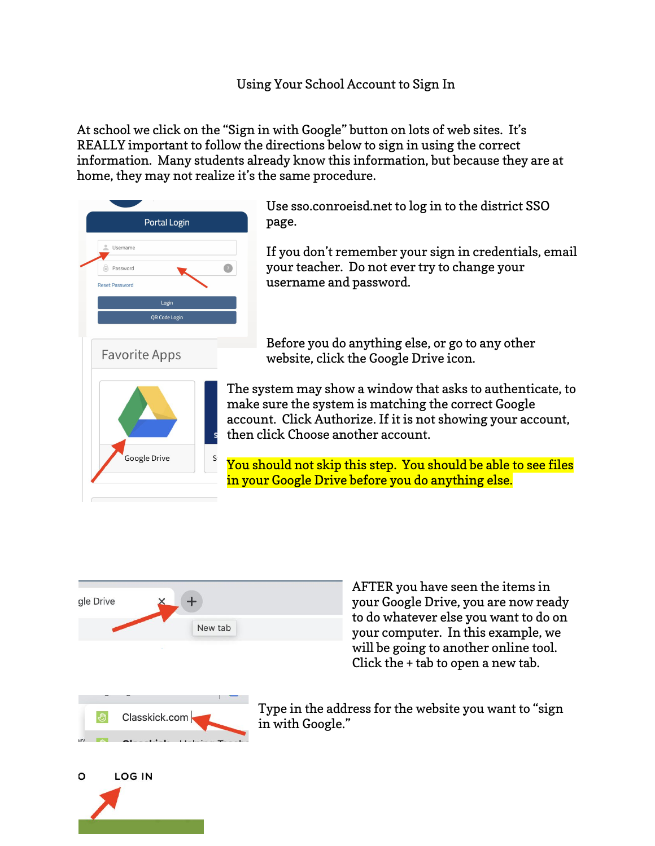At school we click on the "Sign in with Google" button on lots of web sites. It's REALLY important to follow the directions below to sign in using the correct information. Many students already know this information, but because they are at home, they may not realize it's the same procedure.



Use sso.conroeisd.net to log in to the district SSO page.

If you don't remember your sign in credentials, email your teacher. Do not ever try to change your username and password.

Before you do anything else, or go to any other website, click the Google Drive icon.

The system may show a window that asks to authenticate, to make sure the system is matching the correct Google account. Click Authorize. If it is not showing your account, then click Choose another account.

You should not skip this step. You should be able to see files in your Google Drive before you do anything else.



AFTER you have seen the items in your Google Drive, you are now ready to do whatever else you want to do on your computer. In this example, we will be going to another online tool. Click the + tab to open a new tab.

Type in the address for the website you want to "sign in with Google."